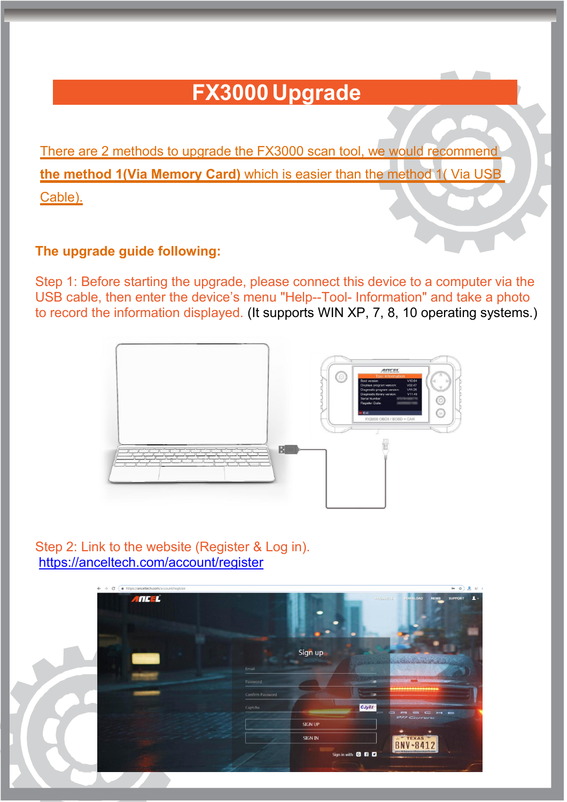## **FX3000 Upgrade**

There are 2 methods to upgrade the FX3000 scan tool, we would recommend **the method 1(Via Memory Card)** which is easier than the method 1( Via USB Cable).

## **The upgrade guide following:**

Step 1: Before starting the upgrade, please connect this device to a computer via the USB cable, then enter the device's menu "Help--Tool- Information" and take a photo to record the information displayed. (It supports WIN XP, 7, 8, 10 operating systems.)



Step 2: Link to the website (Register & Log in). <https://anceltech.com/account/register>

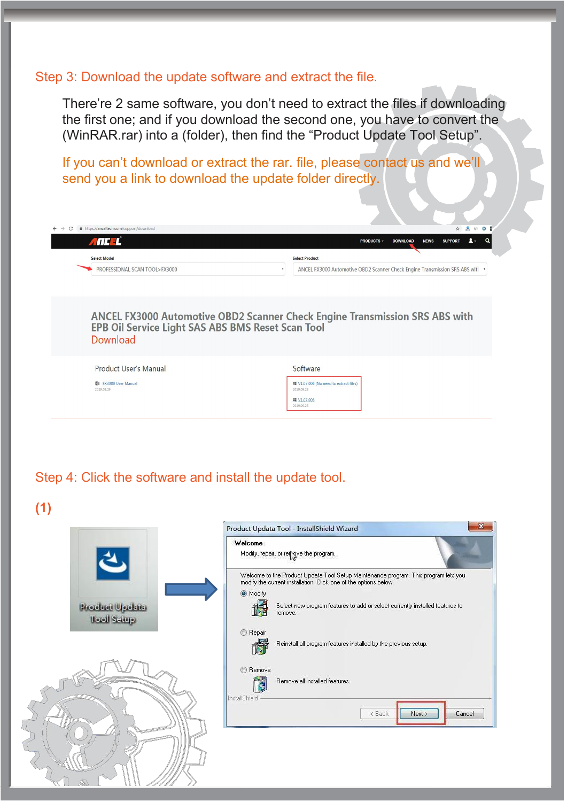## Step 3: Download the update software and extract the file.

There're 2 same software, you don't need to extract the files if downloading the first one; and if you download the second one, you have to convert the (WinRAR.rar) into a (folder), then find the "Product Update Tool Setup".

If you can't download or extract the rar. file, please contact us and we'll send you a link to download the update folder directly.

| ANCEL <sup>'</sup>                 | 1.<br><b>SUPPORT</b><br><b>NEWS</b><br><b>PRODUCTS -</b><br><b>DOWNLOAD</b>                                                                    |
|------------------------------------|------------------------------------------------------------------------------------------------------------------------------------------------|
| <b>Select Model</b>                | <b>Select Product</b>                                                                                                                          |
| PROFESSIONAL SCAN TOOL>FX3000      | ANCEL FX3000 Automotive OBD2 Scanner Check Engine Transmission SRS ABS with                                                                    |
|                                    |                                                                                                                                                |
| Download                           | <b>ANCEL FX3000 Automotive OBD2 Scanner Check Engine Transmission SRS ABS with</b><br><b>EPB Oil Service Light SAS ABS BMS Reset Scan Tool</b> |
| Product User's Manual              | Software                                                                                                                                       |
| 图 FX3000 User Manual<br>2019.08.29 | V1.07.006 (No need to extract files)<br>2019.09.23                                                                                             |

Step 4: Click the software and install the update tool.

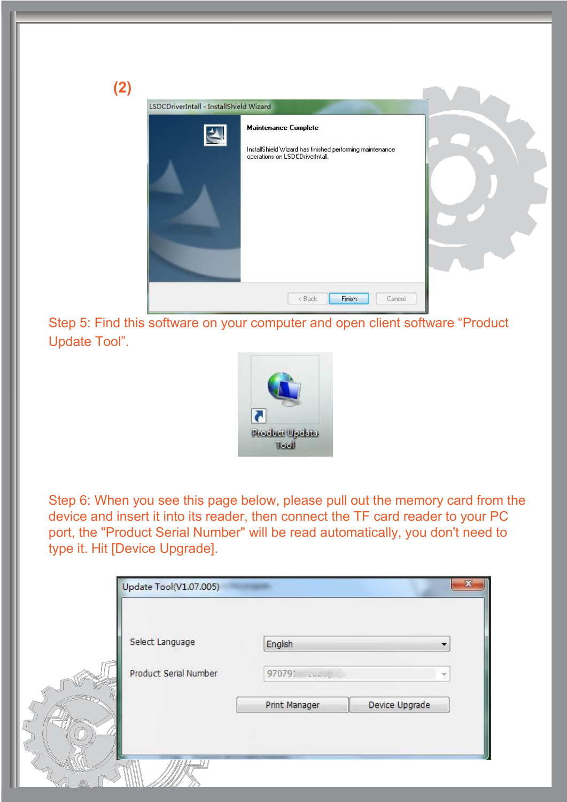| (2) | LSDCDriverIntall - InstallShield Wizard |                                                                                                                            |  |
|-----|-----------------------------------------|----------------------------------------------------------------------------------------------------------------------------|--|
|     | $\blacktriangle$                        | <b>Maintenance Complete</b><br>InstallShield Wizard has finished performing maintenance<br>operations on LSDCDriverIntall. |  |
|     |                                         | Finish<br><back<br>Cancel</back<br>                                                                                        |  |

Step 5: Find this software on your computer and open client software "Product Update Tool".



Step 6: When you see this page below, please pull out the memory card from the device and insert it into its reader, then connect the TF card reader to your PC port, the "Product Serial Number" will be read automatically, you don't need to type it. Hit [Device Upgrade].

| Select Language       | English                 |                | $\overline{\phantom{a}}$ |
|-----------------------|-------------------------|----------------|--------------------------|
| Product Serial Number | 970791<br><b>SAMANO</b> |                | ×                        |
|                       | Print Manager           | Device Upgrade |                          |
|                       |                         |                |                          |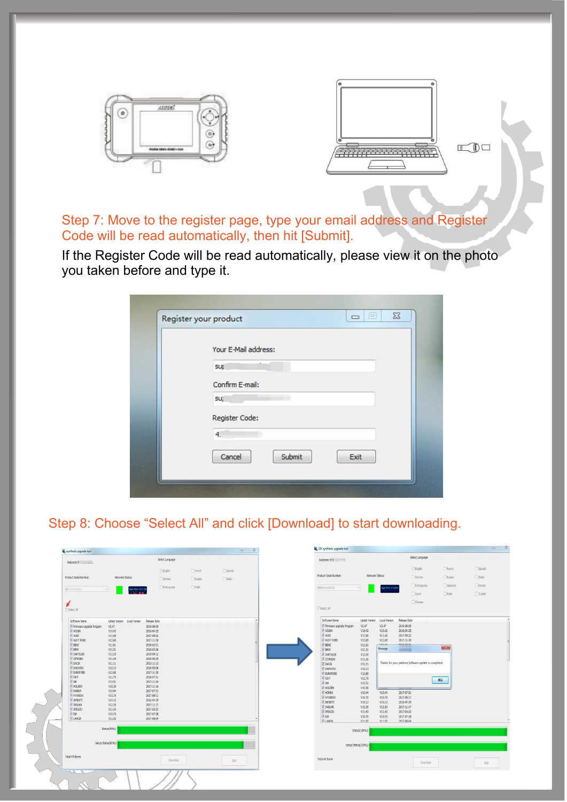

Step 7: Move to the register page, type your email address and Register Code will be read automatically, then hit [Submit].

If the Register Code will be read automatically, please view it on the photo you taken before and type it.

| Your E-Mail address:     |
|--------------------------|
| sup                      |
| Confirm E-mail:          |
| SU;                      |
| Register Code:           |
| 4.                       |
| Cancel<br>Submit<br>Exit |

## Step 8: Choose "Select All" and click [Download] to start downloading.

| Synthesis upgrade tool            |                                      |                          |              |               | $-28$ | DIY synthesis upgrade tool |                  |                              |                                                         |                 |          | $\Box$         |
|-----------------------------------|--------------------------------------|--------------------------|--------------|---------------|-------|----------------------------|------------------|------------------------------|---------------------------------------------------------|-----------------|----------|----------------|
| Welcome 9:                        |                                      | Select Language          |              |               |       | Welcome 970                |                  |                              |                                                         | Select Language |          |                |
|                                   |                                      | $\sqrt{2}$ English       | French       | Spanish       |       |                            |                  |                              |                                                         | English         | French   | Spanish        |
| Product Serial Number:            | Network Status:                      | German                   | Russian      | $\Box$ Italan |       | Product Serial Number:     | Network Status:  |                              |                                                         | German          | Russian  | <b>Ditalan</b> |
|                                   |                                      |                          |              |               |       |                            |                  |                              |                                                         | Portuguese      | 3apanese | Korean         |
| 9.                                | Sept Flow: 625 0 325<br>$\mathbf{v}$ | Portuguese               | $\Box$ Polsh |               |       | 970                        |                  | apot Plan: 0.0 KB s          |                                                         |                 |          |                |
|                                   |                                      |                          |              |               |       |                            |                  |                              |                                                         | $\Box$ Czech    | Polsh    | $T$ urkish     |
|                                   |                                      |                          |              |               |       |                            |                  |                              |                                                         | $\Box$ Chinese  |          |                |
| V Select All                      |                                      |                          |              |               |       | Select All                 |                  |                              |                                                         |                 |          |                |
| Software Name                     | Latest Version Local Version         | Release Date             |              |               |       | Software Name              |                  | Latest Version Local Version | Release Date                                            |                 |          |                |
| Firmware upgrade Program          | V2.47                                | 2019-08-09               |              |               |       | Firmware upgrade Program   | V2.47            | V2.47                        | 2019-08-09                                              |                 |          |                |
| <b>ZAQURA</b><br>V AUDI           | V10.42<br>V11.60                     | 2016-04-25<br>2017-09-22 |              |               |       | <b>ZACURA</b><br>AUDI      | V10.42<br>V11.60 | V10.42<br>V11.60             | 2016-04-25<br>2017-09-22                                |                 |          |                |
| <b>Z</b> AUST FORD                | V12.65                               | 2017-11-30               |              |               |       | AUST FORD                  | V12.65           | V12.65                       | 2017-11-30                                              |                 |          |                |
| <b>V</b> BENZ                     | V11.61                               | 2018-02-01               |              |               |       | V BENZ                     | V11.61           | uuxu                         | ania an ai                                              |                 |          |                |
| <b>V BMW</b>                      | V11.51                               | 2018-03-26               |              |               |       | <b>BMW</b>                 | V11.51           | Message                      | <b>HARA</b>                                             |                 | $-3-$    |                |
| <b>V CHRYSLER</b>                 | V12.20                               | 2019-09-12               |              |               |       | CHRYSLER                   | V12.20           |                              |                                                         |                 |          |                |
| V CITROEN                         | V11.20                               | 2018-06-25               |              |               |       | V CITROEN                  | V11.20           |                              | Thanks for your patience, Software update is completed. |                 |          |                |
| <b>V</b> DACIA<br><b>V</b> DAEWOO | V11.11<br>V10.13                     | 2013-11-13<br>2016-05-06 |              |               |       | <b>DACIA</b>               | V11.11           |                              |                                                         |                 |          |                |
| <b>V</b> EUROFORD                 | V12.65                               | 2017-11-30               |              |               |       | DAEWOO<br>V EUROFORD       | V10.13<br>V12.65 |                              |                                                         |                 |          |                |
| <b>V</b> FIAT                     | V11.70                               | 2018-07-31               |              |               |       | <b>V FIAT</b>              | V11.70           |                              |                                                         |                 |          |                |
| <b>J</b> GM                       | V12.51                               | 2017-11-24               |              |               |       | $2$ GN                     | V12.51           |                              |                                                         |                 | 确定       |                |
| V HOLDEN                          | V10.30                               | 2017-11-16               |              |               |       | <b>Z HOLDEN</b>            | V10.30           |                              |                                                         |                 |          |                |
| <b>V</b> HONDA                    | V10.44                               | 2017-07-31               |              |               |       | V HONDA                    | V10.44           | V10.44                       | 2017-07-31                                              |                 |          |                |
| <b>TAQINUMP V</b><br>V INFINITI   | V10.70<br>V10.12                     | 2017-08-11<br>2016-04-29 |              |               |       | V HYUNDAI                  | V10.70           | V10.70                       | 2017-08-11                                              |                 |          |                |
| <b>JAGUAR</b>                     | V12.20                               | 2017-11-17               |              |               |       | V INFINITI                 | V10.12           | V10.12                       | 2016-04-29                                              |                 |          |                |
| V JPISUZU                         | V11.43                               | 2017-03-23               |              |               |       | JAGUAR<br>V JPISUZU        | V12.20           | V12.20                       | 2017-11-17                                              |                 |          |                |
| <b>V KIA</b>                      | V10.70                               | 2017-07-28               |              |               |       | V KIA                      | V11.43<br>V10.70 | V11.43<br>V10.70             | 2017-03-23<br>2017-07-28                                |                 |          |                |
| <b>J</b> LANCIA                   | V11.52                               | 2017-08-04               |              |               |       | <b>VIANCIA</b>             | V11.52           | V11.52                       | 2017-08-04                                              |                 |          |                |
|                                   | Status(95%):                         |                          |              |               |       |                            | Status(100%):    |                              |                                                         |                 |          |                |
|                                   | Setup Status(91%):                   |                          |              |               |       | Setup Status(100%):        |                  |                              |                                                         |                 |          |                |
|                                   |                                      |                          |              |               |       |                            |                  |                              |                                                         |                 |          |                |
| Total 49 Items                    |                                      | Download                 |              | Quit          |       | Total 49 Items             |                  |                              |                                                         | Download        |          | Quit           |
| $R = R e^{R e^{i \omega t}}$      |                                      |                          |              |               |       |                            |                  |                              |                                                         |                 |          |                |